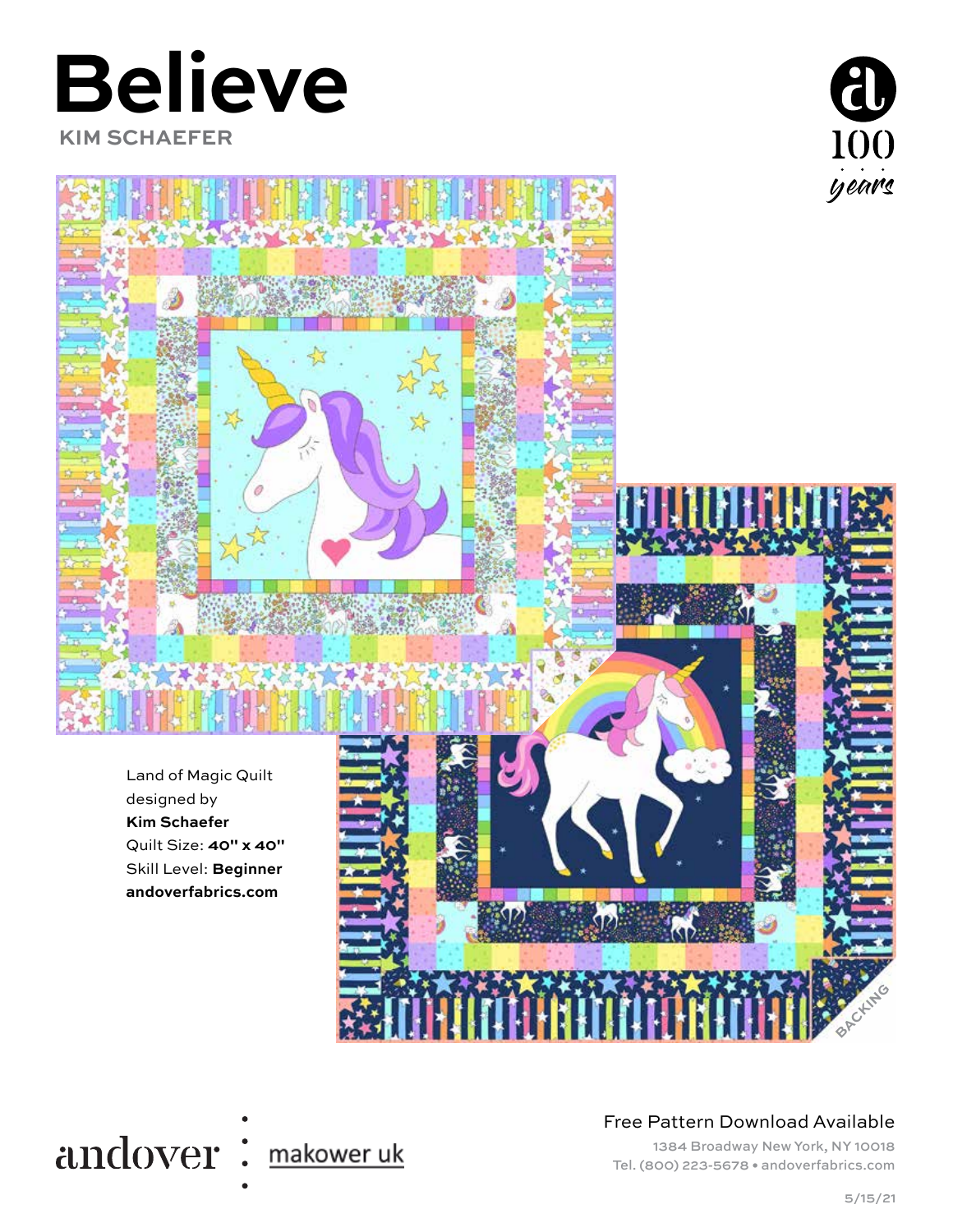# **Believe**

 **KIM SCHAEFER**









#### Free Pattern Download Available

1384 Broadway New York, NY 10018 Tel. (800) 223-5678 • andoverfabrics.com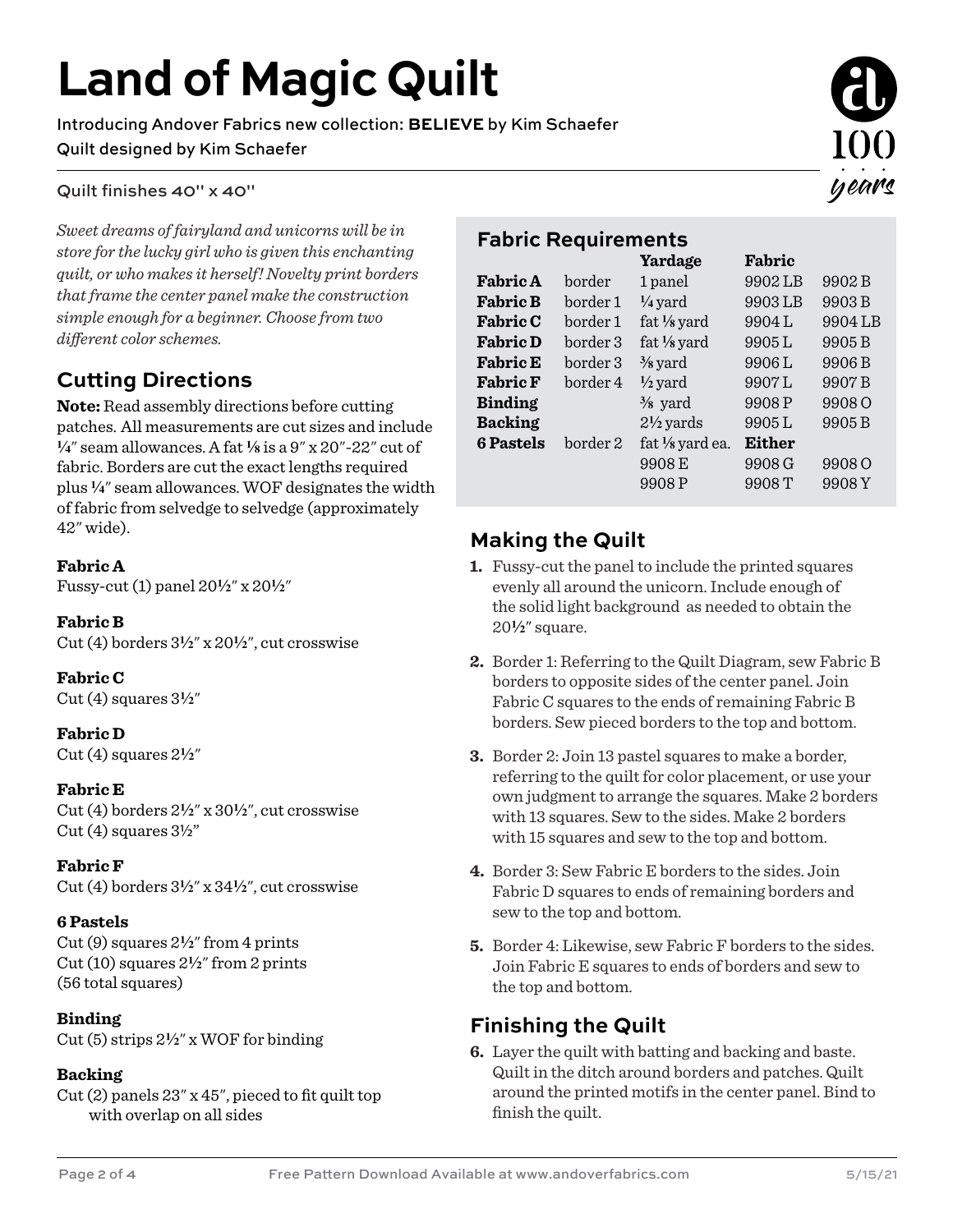### **Land of Magic Quilt**

Introducing Andover Fabrics new collection: **BELIEVE** by Kim Schaefer Quilt designed by Kim Schaefer

#### Quilt finishes 40" x 40"

*Sweet dreams of fairyland and unicorns will be in store for the lucky girl who is given this enchanting quilt, or who makes it herself! Novelty print borders that frame the center panel make the construction simple enough for a beginner. Choose from two*   $differential$  *different color schemes.* 

### **Cutting Directions**

**Note:** Read assembly directions before cutting patches. All measurements are cut sizes and include **4**" seam allowances. A fat **8** is a 9" x 20"-22" cut of fabric. Borders are cut the exact lengths required plus **4**" seam allowances. WOF designates the width of fabric from selvedge to selvedge (approximately 42" wide). **Making the Quilt**

#### **Fabric A**

Fussy-cut (1) panel 20**2**" x 20**2**"

#### **Fabric B**

Cut (4) borders 3**2**" x 20**2**", cut crosswise

**Fabric C** Cut  $(4)$  squares  $3\frac{1}{2}$ "

#### **Fabric D** Cut  $(4)$  squares  $2\frac{1}{2}$ "

#### **Fabric E**

Cut (4) borders 2**2**" x 30**2**", cut crosswise  $Cut(4)$  squares  $3\frac{1}{2}$ "

#### **Fabric F**

Cut (4) borders  $3\frac{1}{2}$ " x  $34\frac{1}{2}$ ", cut crosswise

#### **6 Pastels**

Cut (9) squares 2**2**" from 4 prints Cut (10) squares 2**2**" from 2 prints (56 total squares)

#### **Binding**

Cut (5) strips 2**2**" x WOF for binding

#### **Backing**

Cut (2) panels 23" x 45", pieced to fit quilt top with overlap on all sides



#### **Fabric Requirements**

|                  |          | Yardage                      | Fabric        |                   |
|------------------|----------|------------------------------|---------------|-------------------|
| <b>Fabric A</b>  | border   | 1 panel                      | 9902LB        | 9902B             |
| <b>Fabric B</b>  | border1  | $\frac{1}{4}$ yard           | 9903LB        | 9903B             |
| <b>Fabric C</b>  | border1  | fat $\frac{1}{8}$ yard       | 9904L         | 9904LB            |
| <b>Fabric D</b>  | border 3 | fat $\frac{1}{8}$ yard       | 9905L         | 9905B             |
| <b>Fabric E</b>  | border 3 | $\frac{3}{8}$ yard           | 9906L         | 9906B             |
| <b>Fabric F</b>  | border 4 | $\frac{1}{2}$ yard           | 9907L         | 9907B             |
| <b>Binding</b>   |          | $\frac{3}{8}$ yard           | 9908P         | 9908 <sub>O</sub> |
| <b>Backing</b>   |          | $2\frac{1}{2}$ yards         | 9905L         | 9905B             |
| <b>6 Pastels</b> | border2  | fat 1/ <sub>8</sub> yard ea. | <b>Either</b> |                   |
|                  |          | 9908 E                       | 9908 G        | 9908 O            |
|                  |          | 9908P                        | 9908T         | 9908Y             |
|                  |          |                              |               |                   |

- **1.** Fussy-cut the panel to include the printed squares evenly all around the unicorn. Include enough of the solid light background as needed to obtain the 20**2**" square.
- **2.** Border 1: Referring to the Quilt Diagram, sew Fabric B borders to opposite sides of the center panel. Join Fabric C squares to the ends of remaining Fabric B borders. Sew pieced borders to the top and bottom.
- **3.** Border 2: Join 13 pastel squares to make a border, referring to the quilt for color placement, or use your own judgment to arrange the squares. Make 2 borders with 13 squares. Sew to the sides. Make 2 borders with 15 squares and sew to the top and bottom.
- **4.** Border 3: Sew Fabric E borders to the sides. Join Fabric D squares to ends of remaining borders and sew to the top and bottom.
- **5.** Border 4: Likewise, sew Fabric F borders to the sides. Join Fabric E squares to ends of borders and sew to the top and bottom.

#### **Finishing the Quilt**

**6.** Layer the quilt with batting and backing and baste. Quilt in the ditch around borders and patches. Quilt around the printed motifs in the center panel. Bind to finish the quilt.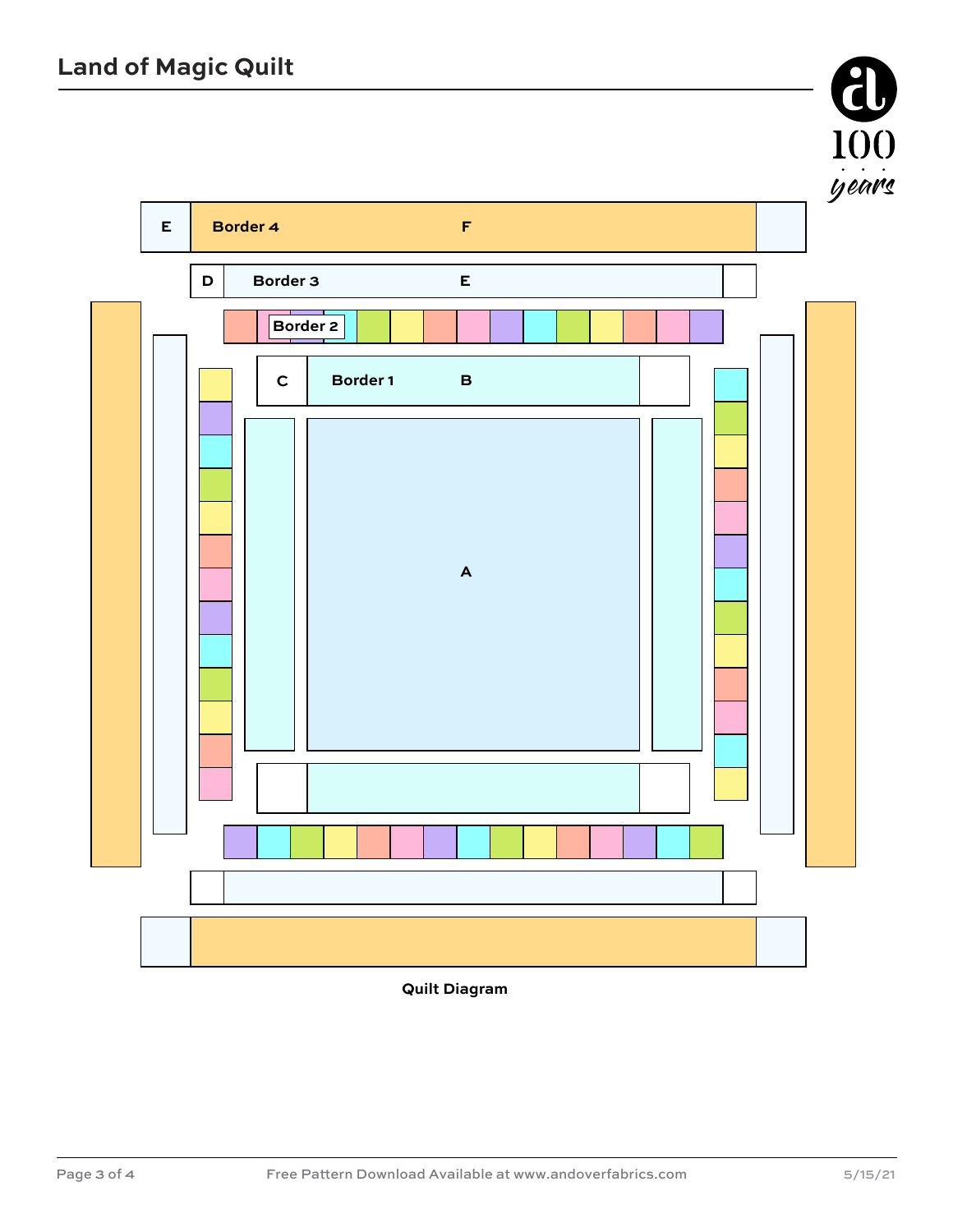

**Quilt Diagram**